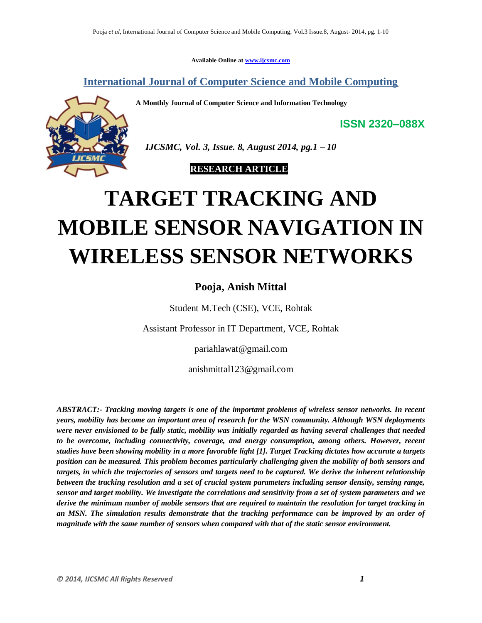**Available Online at www.ijcsmc.com**

**International Journal of Computer Science and Mobile Computing**

**A Monthly Journal of Computer Science and Information Technology**



 *IJCSMC, Vol. 3, Issue. 8, August 2014, pg.1 – 10*

 **RESEARCH ARTICLE**

# **TARGET TRACKING AND MOBILE SENSOR NAVIGATION IN WIRELESS SENSOR NETWORKS**

## **Pooja, Anish Mittal**

Student M.Tech (CSE), VCE, Rohtak

Assistant Professor in IT Department, VCE, Rohtak

pariahlawat@gmail.com

anishmittal123@gmail.com

*ABSTRACT:- Tracking moving targets is one of the important problems of wireless sensor networks. In recent years, mobility has become an important area of research for the WSN community. Although WSN deployments were never envisioned to be fully static, mobility was initially regarded as having several challenges that needed to be overcome, including connectivity, coverage, and energy consumption, among others. However, recent studies have been showing mobility in a more favorable light [1]. Target Tracking dictates how accurate a targets position can be measured. This problem becomes particularly challenging given the mobility of both sensors and targets, in which the trajectories of sensors and targets need to be captured. We derive the inherent relationship between the tracking resolution and a set of crucial system parameters including sensor density, sensing range, sensor and target mobility. We investigate the correlations and sensitivity from a set of system parameters and we derive the minimum number of mobile sensors that are required to maintain the resolution for target tracking in an MSN. The simulation results demonstrate that the tracking performance can be improved by an order of magnitude with the same number of sensors when compared with that of the static sensor environment.*

**ISSN 2320–088X**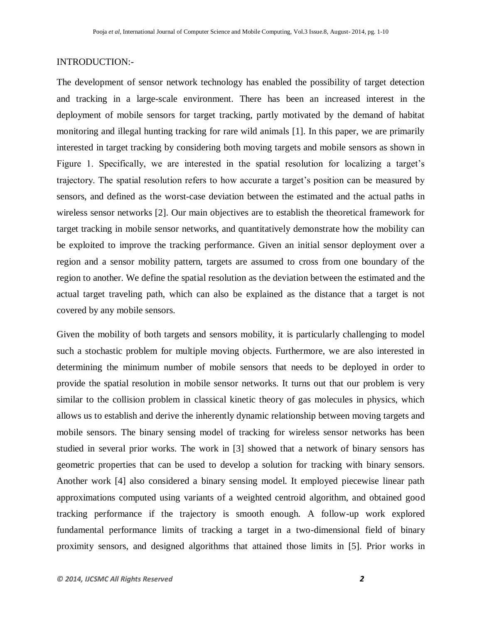## INTRODUCTION:-

The development of sensor network technology has enabled the possibility of target detection and tracking in a large-scale environment. There has been an increased interest in the deployment of mobile sensors for target tracking, partly motivated by the demand of habitat monitoring and illegal hunting tracking for rare wild animals [1]. In this paper, we are primarily interested in target tracking by considering both moving targets and mobile sensors as shown in Figure 1. Specifically, we are interested in the spatial resolution for localizing a target's trajectory. The spatial resolution refers to how accurate a target"s position can be measured by sensors, and defined as the worst-case deviation between the estimated and the actual paths in wireless sensor networks [2]. Our main objectives are to establish the theoretical framework for target tracking in mobile sensor networks, and quantitatively demonstrate how the mobility can be exploited to improve the tracking performance. Given an initial sensor deployment over a region and a sensor mobility pattern, targets are assumed to cross from one boundary of the region to another. We define the spatial resolution as the deviation between the estimated and the actual target traveling path, which can also be explained as the distance that a target is not covered by any mobile sensors.

Given the mobility of both targets and sensors mobility, it is particularly challenging to model such a stochastic problem for multiple moving objects. Furthermore, we are also interested in determining the minimum number of mobile sensors that needs to be deployed in order to provide the spatial resolution in mobile sensor networks. It turns out that our problem is very similar to the collision problem in classical kinetic theory of gas molecules in physics, which allows us to establish and derive the inherently dynamic relationship between moving targets and mobile sensors. The binary sensing model of tracking for wireless sensor networks has been studied in several prior works. The work in [3] showed that a network of binary sensors has geometric properties that can be used to develop a solution for tracking with binary sensors. Another work [4] also considered a binary sensing model. It employed piecewise linear path approximations computed using variants of a weighted centroid algorithm, and obtained good tracking performance if the trajectory is smooth enough. A follow-up work explored fundamental performance limits of tracking a target in a two-dimensional field of binary proximity sensors, and designed algorithms that attained those limits in [5]. Prior works in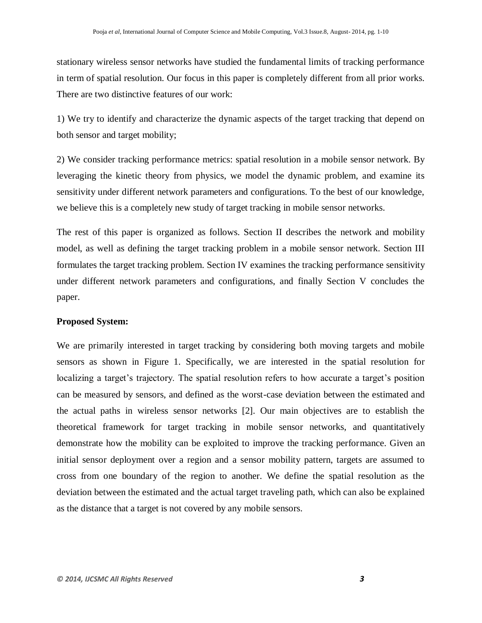stationary wireless sensor networks have studied the fundamental limits of tracking performance in term of spatial resolution. Our focus in this paper is completely different from all prior works. There are two distinctive features of our work:

1) We try to identify and characterize the dynamic aspects of the target tracking that depend on both sensor and target mobility;

2) We consider tracking performance metrics: spatial resolution in a mobile sensor network. By leveraging the kinetic theory from physics, we model the dynamic problem, and examine its sensitivity under different network parameters and configurations. To the best of our knowledge, we believe this is a completely new study of target tracking in mobile sensor networks.

The rest of this paper is organized as follows. Section II describes the network and mobility model, as well as defining the target tracking problem in a mobile sensor network. Section III formulates the target tracking problem. Section IV examines the tracking performance sensitivity under different network parameters and configurations, and finally Section V concludes the paper.

### **Proposed System:**

We are primarily interested in target tracking by considering both moving targets and mobile sensors as shown in Figure 1. Specifically, we are interested in the spatial resolution for localizing a target's trajectory. The spatial resolution refers to how accurate a target's position can be measured by sensors, and defined as the worst-case deviation between the estimated and the actual paths in wireless sensor networks [2]. Our main objectives are to establish the theoretical framework for target tracking in mobile sensor networks, and quantitatively demonstrate how the mobility can be exploited to improve the tracking performance. Given an initial sensor deployment over a region and a sensor mobility pattern, targets are assumed to cross from one boundary of the region to another. We define the spatial resolution as the deviation between the estimated and the actual target traveling path, which can also be explained as the distance that a target is not covered by any mobile sensors.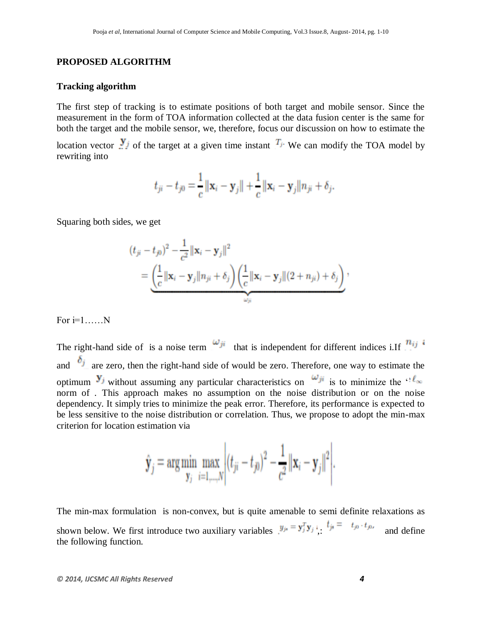## **PROPOSED ALGORITHM**

#### **Tracking algorithm**

The first step of tracking is to estimate positions of both target and mobile sensor. Since the measurement in the form of TOA information collected at the data fusion center is the same for both the target and the mobile sensor, we, therefore, focus our discussion on how to estimate the

location vector  $\mathbf{y}_j$  of the target at a given time instant  $\mathbf{y}_j$ . We can modify the TOA model by rewriting into

$$
t_{ji} - t_{j0} = \frac{1}{c} ||\mathbf{x}_i - \mathbf{y}_j|| + \frac{1}{c} ||\mathbf{x}_i - \mathbf{y}_j|| n_{ji} + \delta_j.
$$

Squaring both sides, we get

$$
(t_{ji} - t_{j0})^2 - \frac{1}{c^2} ||\mathbf{x}_i - \mathbf{y}_j||^2
$$
  
=  $\underbrace{\left(\frac{1}{c} ||\mathbf{x}_i - \mathbf{y}_j||n_{ji} + \delta_j\right)}_{\omega_{ji}} \left(\frac{1}{c} ||\mathbf{x}_i - \mathbf{y}_j||(2 + n_{ji}) + \delta_j\right)}_{\omega_{ji}},$ 

For  $i=1,\ldots,N$ 

The right-hand side of is a noise term  $\omega_{ji}$  that is independent for different indices i.If  $n_{ij}$ and  $\partial_j$  are zero, then the right-hand side of would be zero. Therefore, one way to estimate the optimum  $y_j$  without assuming any particular characteristics on  $\omega_j$  is to minimize the  $\omega$ norm of . This approach makes no assumption on the noise distribution or on the noise dependency. It simply tries to minimize the peak error. Therefore, its performance is expected to be less sensitive to the noise distribution or correlation. Thus, we propose to adopt the min-max criterion for location estimation via

$$
\hat{\mathbf{y}}_{j} = \arg \min_{\mathbf{y}_{j}} \max_{i=1,\dots,N} \left| (t_{ji} - t_{j0})^{2} - \frac{1}{c^{2}} ||\mathbf{x}_{i} - \mathbf{y}_{j}||^{2} \right|.
$$

**Carlos** 

The min-max formulation is non-convex, but is quite amenable to semi definite relaxations as shown below. We first introduce two auxiliary variables  $y_{js} = y_j^T y_j$ ;  $t_{js} = t_{j0} \cdot t_{j0}$ , and define the following function.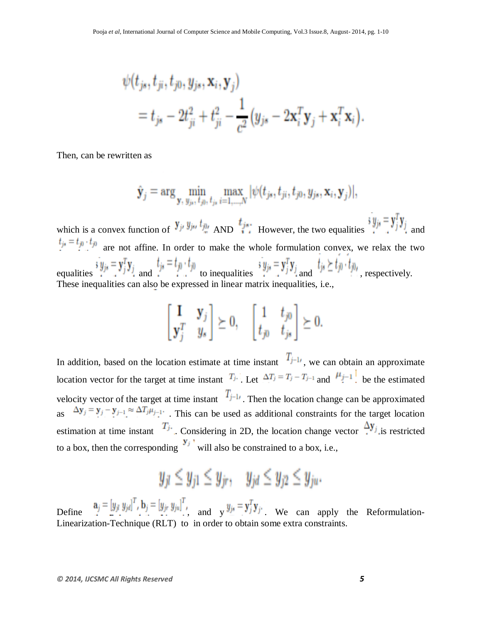$$
\psi(t_{j_s}, t_{ji}, t_{j0}, y_{js}, \mathbf{x}_i, \mathbf{y}_j)
$$
  
=  $t_{js} - 2t_{ji}^2 + t_{ji}^2 - \frac{1}{c^2} (y_{js} - 2\mathbf{x}_i^T \mathbf{y}_j + \mathbf{x}_i^T \mathbf{x}_i).$ 

Then, can be rewritten as

$$
\hat{\mathbf{y}}_j = \arg\min_{\mathbf{y}, y_{j_i}, t_{j0}, t_{j\ast}} \max_{i=1,\dots,N} |\psi(t_{j\ast}, t_{ji}, t_{j0}, y_{j\ast}, \mathbf{x}_i, \mathbf{y}_j)|,
$$

which is a convex function of  $y_{j'} y_{j''} t_{j''}$  AND  $\frac{t_{j'j'}}{n}$ . However, the two equalities  $y_{j'} = y_j^T y_j$  and  $t_{j_s} = t_{j0} \cdot t_{j0}$  are not affine. In order to make the whole formulation convex, we relax the two equalities  $s y_{js} = y_j^T y_j$  and  $t_{js} = t_{j0} \cdot t_{j0}$  to inequalities  $s y_{js} = y_j^T y_j$  and  $t_{js} \ge t_{j0} \cdot t_{j0}$ , respectively. These inequalities can also be expressed in linear matrix inequalities, i.e.,

$$
\begin{bmatrix} \mathbf{I} & \mathbf{y}_j \\ \mathbf{y}_j^T & y_s \end{bmatrix} \succeq 0, \quad \begin{bmatrix} 1 & t_{j0} \\ t_{j0} & t_{js} \end{bmatrix} \succeq 0.
$$

In addition, based on the location estimate at time instant  $T_{j-1}$ , we can obtain an approximate location vector for the target at time instant  $T_{j}$ . Let  $\Delta T_j = T_j - T_{j-1}$  and  $\mu_{j-1}$  be the estimated velocity vector of the target at time instant  $T_{j-1}$ . Then the location change can be approximated as  $\Delta y_j = y_j - y_{j-1} \approx \Delta T_j \mu_{j-1}$ . This can be used as additional constraints for the target location estimation at time instant  $T_j$ . Considering in 2D, the location change vector  $\Delta y_j$  is restricted to a box, then the corresponding  $\frac{\mathbf{y}_j}{\mathbf{y}_j}$  will also be constrained to a box, i.e.,

# $y_{jl} \le y_{j1} \le y_{jr}, \quad y_{jd} \le y_{j2} \le y_{ju}.$

 $\mathbf{a}_j = [y_{jl} y_{jd}]^T$ ,  $\mathbf{b}_j = [y_{jr} y_{ju}]^T$ , and  $\mathbf{y} = \mathbf{y}_j^T \mathbf{y}_j$ . We can apply the Reformulation-Linearization-Technique (RLT) to in order to obtain some extra constraints.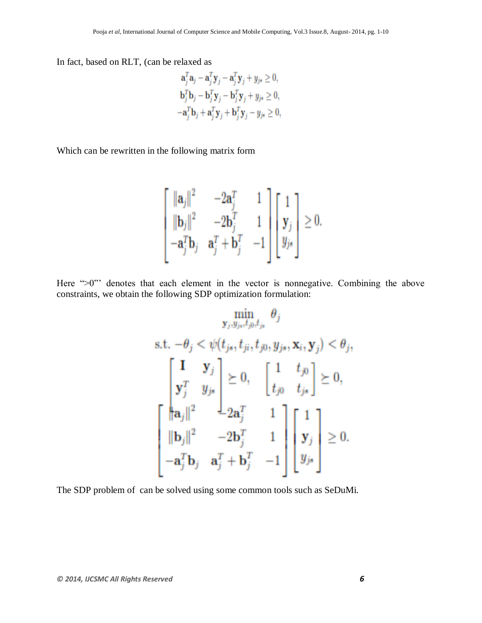In fact, based on RLT, (can be relaxed as

$$
\mathbf{a}_j^T \mathbf{a}_j - \mathbf{a}_j^T \mathbf{y}_j - \mathbf{a}_j^T \mathbf{y}_j + y_{js} \ge 0,
$$
  
\n
$$
\mathbf{b}_j^T \mathbf{b}_j - \mathbf{b}_j^T \mathbf{y}_j - \mathbf{b}_j^T \mathbf{y}_j + y_{js} \ge 0,
$$
  
\n
$$
-\mathbf{a}_j^T \mathbf{b}_j + \mathbf{a}_j^T \mathbf{y}_j + \mathbf{b}_j^T \mathbf{y}_j - y_{js} \ge 0,
$$

Which can be rewritten in the following matrix form

$$
\begin{bmatrix}\n\|\mathbf{a}_j\|^2 & -2\mathbf{a}_j^T & 1 \\
\|\mathbf{b}_j\|^2 & -2\mathbf{b}_j^T & 1 \\
-\mathbf{a}_j^T\mathbf{b}_j & \mathbf{a}_j^T + \mathbf{b}_j^T & -1\n\end{bmatrix}\n\begin{bmatrix}\n1 \\
\mathbf{y}_j \\
y_j\n\end{bmatrix} \geq 0.
$$

Here ">0" denotes that each element in the vector is nonnegative. Combining the above constraints, we obtain the following SDP optimization formulation:

$$
\min_{\mathbf{y}_j, y_{js}, t_{jb}, t_{js}} \theta_j
$$
\n
$$
\text{s.t. } -\theta_j < \psi(t_{js}, t_{ji}, t_{j0}, y_{js}, \mathbf{x}_i, \mathbf{y}_j) < \theta_j,
$$
\n
$$
\begin{bmatrix}\n\mathbf{I} & \mathbf{y}_j \\
\mathbf{y}_j^T & y_{js} \\
\mathbf{x}_j\end{bmatrix} \succeq 0, \quad \begin{bmatrix}\n1 & t_{j0} \\
t_{j0} & t_{js}\n\end{bmatrix} \succeq 0,
$$
\n
$$
\begin{bmatrix}\n\mathbf{a}_j \|\mathbf{a}_j\|^2 & -2\mathbf{a}_j^T & 1 \\
\|\mathbf{b}_j\|^2 & -2\mathbf{b}_j^T & 1 \\
-\mathbf{a}_j^T \mathbf{b}_j & \mathbf{a}_j^T + \mathbf{b}_j^T & -1\n\end{bmatrix} \begin{bmatrix}\n1 \\
\mathbf{y}_j \\
y_{js}\n\end{bmatrix} \geq 0.
$$

The SDP problem of can be solved using some common tools such as SeDuMi.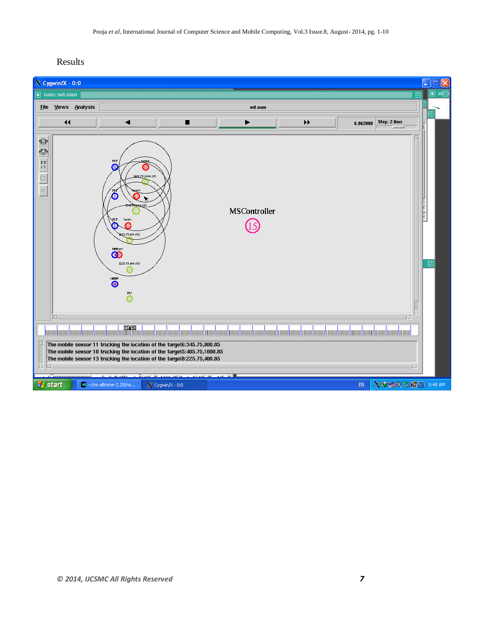## Results

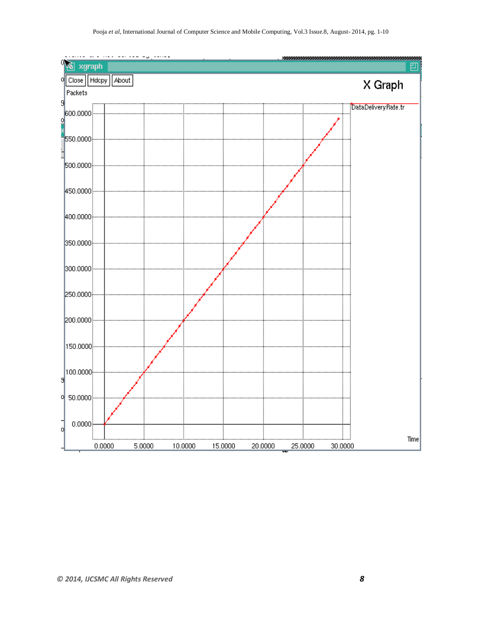| W<br>xgraph        |        |         |         |         |         |                     |         |
|--------------------|--------|---------|---------|---------|---------|---------------------|---------|
| Hdcpy<br>oll Close | About  |         |         |         |         |                     | X Graph |
| Packets            |        |         |         |         |         |                     |         |
| 600.0000           |        |         |         |         |         | DataDeliveryRate.tr |         |
|                    |        |         |         |         |         |                     |         |
| ~550.0000          |        |         |         |         |         |                     |         |
|                    |        |         |         |         |         |                     |         |
| 500.0000           |        |         |         |         |         |                     |         |
|                    |        |         |         |         |         |                     |         |
| 450.0000           |        |         |         |         |         |                     |         |
|                    |        |         |         |         |         |                     |         |
| 400.0000           |        |         |         |         |         |                     |         |
|                    |        |         |         |         |         |                     |         |
| 350.0000           |        |         |         |         |         |                     |         |
|                    |        |         |         |         |         |                     |         |
| 300.0000           |        |         |         |         |         |                     |         |
|                    |        |         |         |         |         |                     |         |
| 250.0000           |        |         |         |         |         |                     |         |
|                    |        |         |         |         |         |                     |         |
| 200.0000           |        |         |         |         |         |                     |         |
|                    |        |         |         |         |         |                     |         |
| 150.0000           |        |         |         |         |         |                     |         |
|                    |        |         |         |         |         |                     |         |
| 100.0000           |        |         |         |         |         |                     |         |
|                    |        |         |         |         |         |                     |         |
| 이 50,0000          |        |         |         |         |         |                     |         |
|                    |        |         |         |         |         |                     |         |
| 0.0000             |        |         |         |         |         |                     |         |
| 0.0000             | 5.0000 | 10.0000 | 15.0000 | 20.0000 | 25.0000 | 30.0000             | Time    |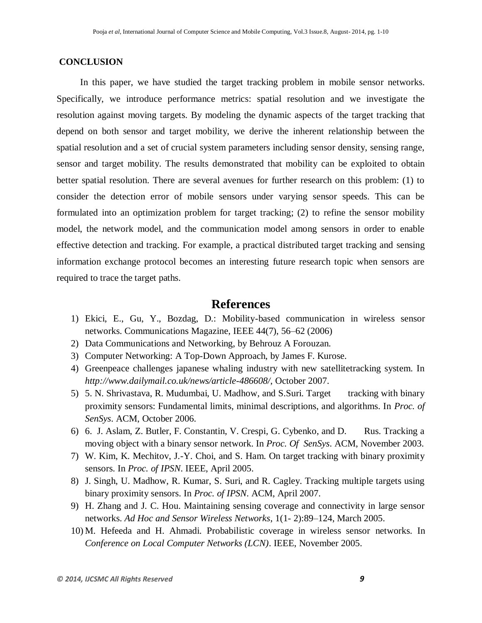#### **CONCLUSION**

 In this paper, we have studied the target tracking problem in mobile sensor networks. Specifically, we introduce performance metrics: spatial resolution and we investigate the resolution against moving targets. By modeling the dynamic aspects of the target tracking that depend on both sensor and target mobility, we derive the inherent relationship between the spatial resolution and a set of crucial system parameters including sensor density, sensing range, sensor and target mobility. The results demonstrated that mobility can be exploited to obtain better spatial resolution. There are several avenues for further research on this problem: (1) to consider the detection error of mobile sensors under varying sensor speeds. This can be formulated into an optimization problem for target tracking; (2) to refine the sensor mobility model, the network model, and the communication model among sensors in order to enable effective detection and tracking. For example, a practical distributed target tracking and sensing information exchange protocol becomes an interesting future research topic when sensors are required to trace the target paths.

## **References**

- 1) Ekici, E., Gu, Y., Bozdag, D.: Mobility-based communication in wireless sensor networks. Communications Magazine, IEEE 44(7), 56–62 (2006)
- 2) Data Communications and Networking, by Behrouz A Forouzan.
- 3) Computer Networking: A Top-Down Approach, by James F. Kurose.
- 4) Greenpeace challenges japanese whaling industry with new satellitetracking system. In *http://www.dailymail.co.uk/news/article-486608/*, October 2007.
- 5) 5. N. Shrivastava, R. Mudumbai, U. Madhow, and S.Suri. Target tracking with binary proximity sensors: Fundamental limits, minimal descriptions, and algorithms. In *Proc. of SenSys*. ACM, October 2006.
- 6) 6. J. Aslam, Z. Butler, F. Constantin, V. Crespi, G. Cybenko, and D. Rus. Tracking a moving object with a binary sensor network. In *Proc. Of SenSys*. ACM, November 2003.
- 7) W. Kim, K. Mechitov, J.-Y. Choi, and S. Ham. On target tracking with binary proximity sensors. In *Proc. of IPSN*. IEEE, April 2005.
- 8) J. Singh, U. Madhow, R. Kumar, S. Suri, and R. Cagley. Tracking multiple targets using binary proximity sensors. In *Proc. of IPSN*. ACM, April 2007.
- 9) H. Zhang and J. C. Hou. Maintaining sensing coverage and connectivity in large sensor networks. *Ad Hoc and Sensor Wireless Networks*, 1(1- 2):89–124, March 2005.
- 10) M. Hefeeda and H. Ahmadi. Probabilistic coverage in wireless sensor networks. In *Conference on Local Computer Networks (LCN)*. IEEE, November 2005.